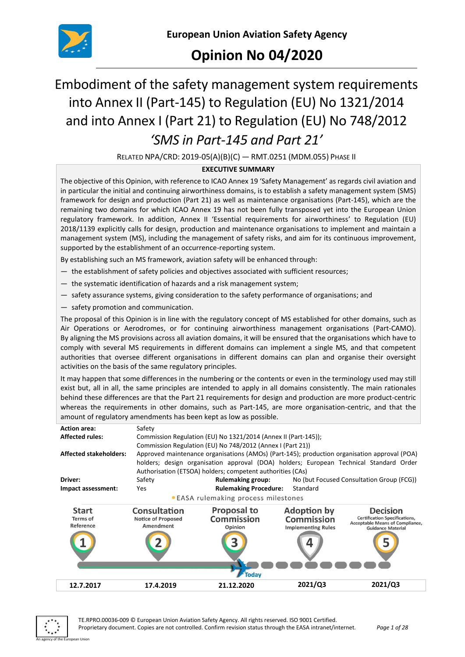

# **Opinion No 04/2020**

# Embodiment of the safety management system requirements into Annex II (Part-145) to Regulation (EU) No 1321/2014 and into Annex I (Part 21) to Regulation (EU) No 748/2012 *'SMS in Part-145 and Part 21'*

RELATED NPA/CRD: 2019-05(A)(B)(C) — RMT.0251 (MDM.055) PHASE II

## **EXECUTIVE SUMMARY**

The objective of this Opinion, with reference to ICAO Annex 19 'Safety Management' as regards civil aviation and in particular the initial and continuing airworthiness domains, is to establish a safety management system (SMS) framework for design and production (Part 21) as well as maintenance organisations (Part-145), which are the remaining two domains for which ICAO Annex 19 has not been fully transposed yet into the European Union regulatory framework. In addition, Annex II 'Essential requirements for airworthiness' to Regulation (EU) 2018/1139 explicitly calls for design, production and maintenance organisations to implement and maintain a management system (MS), including the management of safety risks, and aim for its continuous improvement, supported by the establishment of an occurrence-reporting system.

By establishing such an MS framework, aviation safety will be enhanced through:

- the establishment of safety policies and objectives associated with sufficient resources;
- the systematic identification of hazards and a risk management system;
- safety assurance systems, giving consideration to the safety performance of organisations; and
- safety promotion and communication.

The proposal of this Opinion is in line with the regulatory concept of MS established for other domains, such as Air Operations or Aerodromes, or for continuing airworthiness management organisations (Part-CAMO). By aligning the MS provisions across all aviation domains, it will be ensured that the organisations which have to comply with several MS requirements in different domains can implement a single MS, and that competent authorities that oversee different organisations in different domains can plan and organise their oversight activities on the basis of the same regulatory principles.

It may happen that some differences in the numbering or the contents or even in the terminology used may still exist but, all in all, the same principles are intended to apply in all domains consistently. The main rationales behind these differences are that the Part 21 requirements for design and production are more product-centric whereas the requirements in other domains, such as Part-145, are more organisation-centric, and that the amount of regulatory amendments has been kept as low as possible.



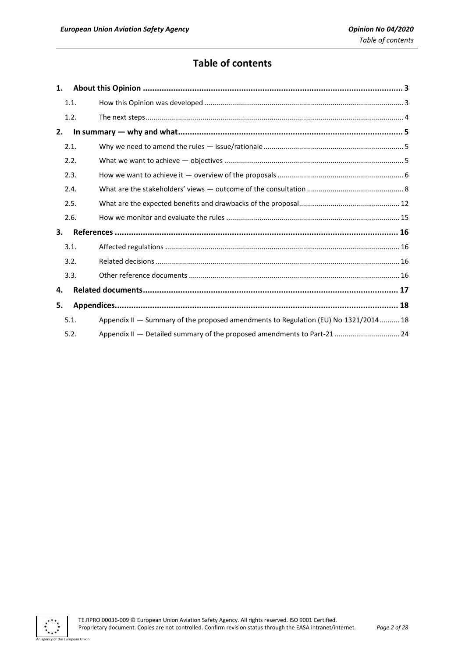# **Table of contents**

| 1. |      |                                                                                     |
|----|------|-------------------------------------------------------------------------------------|
|    | 1.1. |                                                                                     |
|    | 1.2. |                                                                                     |
| 2. |      |                                                                                     |
|    | 2.1. |                                                                                     |
|    | 2.2. |                                                                                     |
|    | 2.3. |                                                                                     |
|    | 2.4. |                                                                                     |
|    | 2.5. |                                                                                     |
|    | 2.6. |                                                                                     |
| 3. |      |                                                                                     |
|    | 3.1. |                                                                                     |
|    | 3.2. |                                                                                     |
|    | 3.3. |                                                                                     |
| 4. |      |                                                                                     |
| 5. |      |                                                                                     |
|    | 5.1. | Appendix II - Summary of the proposed amendments to Regulation (EU) No 1321/2014 18 |
|    | 5.2. | Appendix II — Detailed summary of the proposed amendments to Part-21  24            |

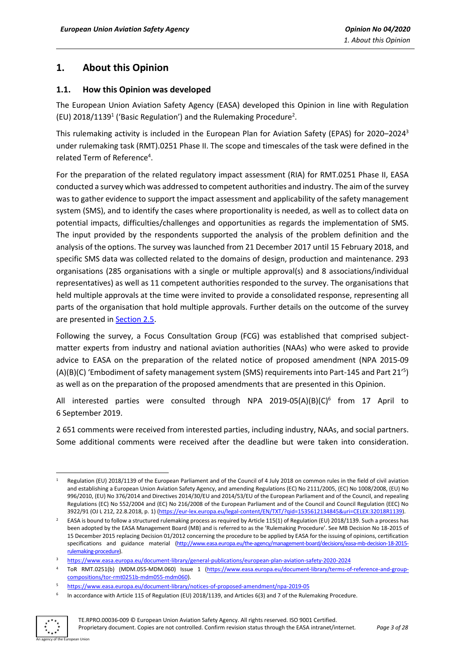# <span id="page-2-0"></span>**1. About this Opinion**

## <span id="page-2-1"></span>**1.1. How this Opinion was developed**

The European Union Aviation Safety Agency (EASA) developed this Opinion in line with Regulation (EU)  $2018/1139<sup>1</sup>$  ('Basic Regulation') and the Rulemaking Procedure<sup>2</sup>.

This rulemaking activity is included in the European Plan for Aviation Safety (EPAS) for 2020–2024<sup>3</sup> under rulemaking task (RMT).0251 Phase II. The scope and timescales of the task were defined in the related Term of Reference<sup>4</sup>.

For the preparation of the related regulatory impact assessment (RIA) for RMT.0251 Phase II, EASA conducted a survey which was addressed to competent authorities and industry. The aim of the survey was to gather evidence to support the impact assessment and applicability of the safety management system (SMS), and to identify the cases where proportionality is needed, as well as to collect data on potential impacts, difficulties/challenges and opportunities as regards the implementation of SMS. The input provided by the respondents supported the analysis of the problem definition and the analysis of the options. The survey was launched from 21 December 2017 until 15 February 2018, and specific SMS data was collected related to the domains of design, production and maintenance. 293 organisations (285 organisations with a single or multiple approval(s) and 8 associations/individual representatives) as well as 11 competent authorities responded to the survey. The organisations that held multiple approvals at the time were invited to provide a consolidated response, representing all parts of the organisation that hold multiple approvals. Further details on the outcome of the survey are presented in [Section](#page-10-0) 2.5.

Following the survey, a Focus Consultation Group (FCG) was established that comprised subjectmatter experts from industry and national aviation authorities (NAAs) who were asked to provide advice to EASA on the preparation of the related notice of proposed amendment (NPA 2015-09 (A)(B)(C) 'Embodiment of safety management system (SMS) requirements into Part-145 and Part 21' 5 ) as well as on the preparation of the proposed amendments that are presented in this Opinion.

All interested parties were consulted through NPA 2019-05(A)(B)(C)<sup>6</sup> from 17 April to 6 September 2019.

2 651 comments were received from interested parties, including industry, NAAs, and social partners. Some additional comments were received after the deadline but were taken into consideration.

<sup>6</sup> In accordance with Article 115 of Regulation (EU) 2018/1139, and Articles 6(3) and 7 of the Rulemaking Procedure.



Regulation (EU) 2018/1139 of the European Parliament and of the Council of 4 July 2018 on common rules in the field of civil aviation and establishing a European Union Aviation Safety Agency, and amending Regulations (EC) No 2111/2005, (EC) No 1008/2008, (EU) No 996/2010, (EU) No 376/2014 and Directives 2014/30/EU and 2014/53/EU of the European Parliament and of the Council, and repealing Regulations (EC) No 552/2004 and (EC) No 216/2008 of the European Parliament and of the Council and Council Regulation (EEC) No 3922/91 (OJ L 212, 22.8.2018, p. 1) [\(https://eur-lex.europa.eu/legal-content/EN/TXT/?qid=1535612134845&uri=CELEX:32018R1139\)](https://eur-lex.europa.eu/legal-content/EN/TXT/?qid=1535612134845&uri=CELEX:32018R1139).

<sup>2</sup> EASA is bound to follow a structured rulemaking process as required by Article 115(1) of Regulation (EU) 2018/1139. Such a process has been adopted by the EASA Management Board (MB) and is referred to as the 'Rulemaking Procedure'. See MB Decision No 18-2015 of 15 December 2015 replacing Decision 01/2012 concerning the procedure to be applied by EASA for the issuing of opinions, certification specifications and guidance material [\(http://www.easa.europa.eu/the-agency/management-board/decisions/easa-mb-decision-18-2015](http://www.easa.europa.eu/the-agency/management-board/decisions/easa-mb-decision-18-2015-rulemaking-procedure) [rulemaking-procedure\).](http://www.easa.europa.eu/the-agency/management-board/decisions/easa-mb-decision-18-2015-rulemaking-procedure)

<sup>3</sup> <https://www.easa.europa.eu/document-library/general-publications/european-plan-aviation-safety-2020-2024>

<sup>4</sup> ToR RMT.0251(b) (MDM.055-MDM.060) Issue 1 [\(https://www.easa.europa.eu/document-library/terms-of-reference-and-group](https://www.easa.europa.eu/document-library/terms-of-reference-and-group-compositions/tor-rmt0251b-mdm055-mdm060)[compositions/tor-rmt0251b-mdm055-mdm060\).](https://www.easa.europa.eu/document-library/terms-of-reference-and-group-compositions/tor-rmt0251b-mdm055-mdm060)

<sup>5</sup> <https://www.easa.europa.eu/document-library/notices-of-proposed-amendment/npa-2019-05>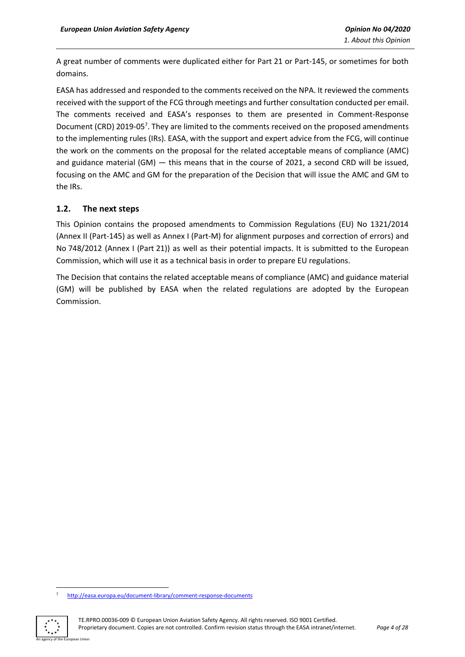A great number of comments were duplicated either for Part 21 or Part-145, or sometimes for both domains.

EASA has addressed and responded to the comments received on the NPA. It reviewed the comments received with the support of the FCG through meetings and further consultation conducted per email. The comments received and EASA's responses to them are presented in Comment-Response Document (CRD) 2019-05<sup>7</sup>. They are limited to the comments received on the proposed amendments to the implementing rules (IRs). EASA, with the support and expert advice from the FCG, will continue the work on the comments on the proposal for the related acceptable means of compliance (AMC) and guidance material (GM) — this means that in the course of 2021, a second CRD will be issued, focusing on the AMC and GM for the preparation of the Decision that will issue the AMC and GM to the IRs.

## <span id="page-3-0"></span>**1.2. The next steps**

This Opinion contains the proposed amendments to Commission Regulations (EU) No 1321/2014 (Annex II (Part-145) as well as Annex I (Part-M) for alignment purposes and correction of errors) and No 748/2012 (Annex I (Part 21)) as well as their potential impacts. It is submitted to the European Commission, which will use it as a technical basis in order to prepare EU regulations.

The Decision that contains the related acceptable means of compliance (AMC) and guidance material (GM) will be published by EASA when the related regulations are adopted by the European Commission.

<sup>7</sup> <http://easa.europa.eu/document-library/comment-response-documents>

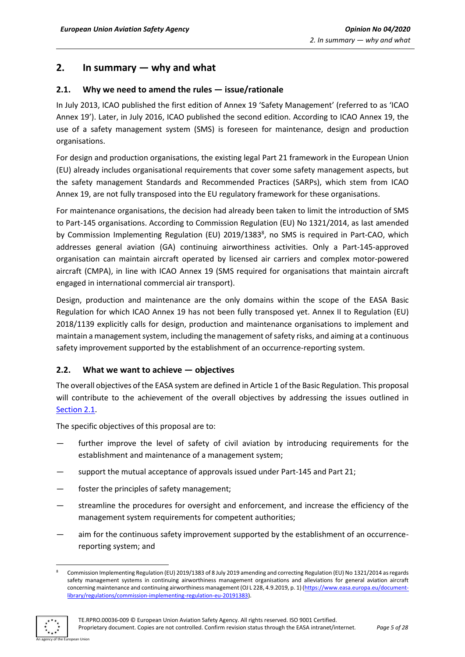# <span id="page-4-0"></span>**2. In summary — why and what**

## <span id="page-4-1"></span>**2.1. Why we need to amend the rules — issue/rationale**

In July 2013, ICAO published the first edition of Annex 19 'Safety Management' (referred to as 'ICAO Annex 19'). Later, in July 2016, ICAO published the second edition. According to ICAO Annex 19, the use of a safety management system (SMS) is foreseen for maintenance, design and production organisations.

For design and production organisations, the existing legal Part 21 framework in the European Union (EU) already includes organisational requirements that cover some safety management aspects, but the safety management Standards and Recommended Practices (SARPs), which stem from ICAO Annex 19, are not fully transposed into the EU regulatory framework for these organisations.

For maintenance organisations, the decision had already been taken to limit the introduction of SMS to Part-145 organisations. According to Commission Regulation (EU) No 1321/2014, as last amended by Commission Implementing Regulation (EU) 2019/1383<sup>8</sup>, no SMS is required in Part-CAO, which addresses general aviation (GA) continuing airworthiness activities. Only a Part-145-approved organisation can maintain aircraft operated by licensed air carriers and complex motor-powered aircraft (CMPA), in line with ICAO Annex 19 (SMS required for organisations that maintain aircraft engaged in international commercial air transport).

Design, production and maintenance are the only domains within the scope of the EASA Basic Regulation for which ICAO Annex 19 has not been fully transposed yet. Annex II to Regulation (EU) 2018/1139 explicitly calls for design, production and maintenance organisations to implement and maintain a management system, including the management of safety risks, and aiming at a continuous safety improvement supported by the establishment of an occurrence-reporting system.

## <span id="page-4-2"></span>**2.2. What we want to achieve — objectives**

The overall objectives of the EASA system are defined in Article 1 of the Basic Regulation. This proposal will contribute to the achievement of the overall objectives by addressing the issues outlined in [Section 2.1.](#page-4-1)

The specific objectives of this proposal are to:

- further improve the level of safety of civil aviation by introducing requirements for the establishment and maintenance of a management system;
- support the mutual acceptance of approvals issued under Part-145 and Part 21;
- foster the principles of safety management;
- streamline the procedures for oversight and enforcement, and increase the efficiency of the management system requirements for competent authorities;
- aim for the continuous safety improvement supported by the establishment of an occurrencereporting system; and

<sup>8</sup> Commission Implementing Regulation (EU) 2019/1383 of 8 July 2019 amending and correcting Regulation (EU) No 1321/2014 as regards safety management systems in continuing airworthiness management organisations and alleviations for general aviation aircraft concerning maintenance and continuing airworthiness management (OJ L 228, 4.9.2019, p. 1) [\(https://www.easa.europa.eu/document](https://www.easa.europa.eu/document-library/regulations/commission-implementing-regulation-eu-20191383)[library/regulations/commission-implementing-regulation-eu-20191383\)](https://www.easa.europa.eu/document-library/regulations/commission-implementing-regulation-eu-20191383).

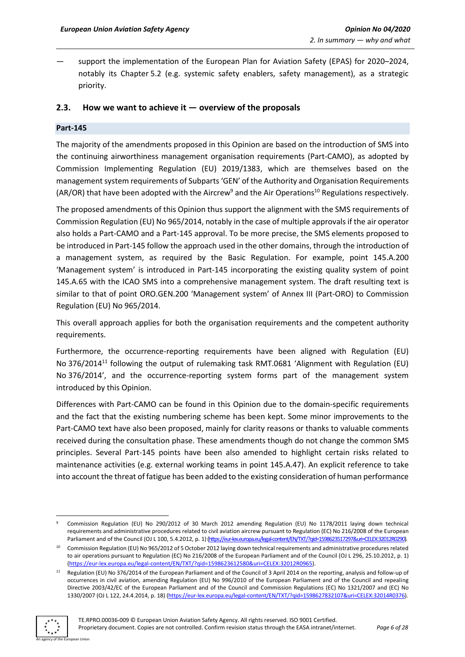— support the implementation of the European Plan for Aviation Safety (EPAS) for 2020–2024, notably its Chapter 5.2 (e.g. systemic safety enablers, safety management), as a strategic priority.

#### <span id="page-5-0"></span>**2.3. How we want to achieve it — overview of the proposals**

#### **Part-145**

The majority of the amendments proposed in this Opinion are based on the introduction of SMS into the continuing airworthiness management organisation requirements (Part-CAMO), as adopted by Commission Implementing Regulation (EU) 2019/1383, which are themselves based on the management system requirements of Subparts 'GEN' of the Authority and Organisation Requirements (AR/OR) that have been adopted with the Aircrew<sup>9</sup> and the Air Operations<sup>10</sup> Regulations respectively.

The proposed amendments of this Opinion thus support the alignment with the SMS requirements of Commission Regulation (EU) No 965/2014, notably in the case of multiple approvals if the air operator also holds a Part-CAMO and a Part-145 approval. To be more precise, the SMS elements proposed to be introduced in Part-145 follow the approach used in the other domains, through the introduction of a management system, as required by the Basic Regulation. For example, point 145.A.200 'Management system' is introduced in Part-145 incorporating the existing quality system of point 145.A.65 with the ICAO SMS into a comprehensive management system. The draft resulting text is similar to that of point ORO.GEN.200 'Management system' of Annex III (Part-ORO) to Commission Regulation (EU) No 965/2014.

This overall approach applies for both the organisation requirements and the competent authority requirements.

Furthermore, the occurrence-reporting requirements have been aligned with Regulation (EU) No 376/2014<sup>11</sup> following the output of rulemaking task RMT.0681 'Alignment with Regulation (EU) No 376/2014', and the occurrence-reporting system forms part of the management system introduced by this Opinion.

Differences with Part-CAMO can be found in this Opinion due to the domain-specific requirements and the fact that the existing numbering scheme has been kept. Some minor improvements to the Part-CAMO text have also been proposed, mainly for clarity reasons or thanks to valuable comments received during the consultation phase. These amendments though do not change the common SMS principles. Several Part-145 points have been also amended to highlight certain risks related to maintenance activities (e.g. external working teams in point 145.A.47). An explicit reference to take into account the threat of fatigue has been added to the existing consideration of human performance

<sup>&</sup>lt;sup>11</sup> Regulation (EU) No 376/2014 of the European Parliament and of the Council of 3 April 2014 on the reporting, analysis and follow-up of occurrences in civil aviation, amending Regulation (EU) No 996/2010 of the European Parliament and of the Council and repealing Directive 2003/42/EC of the European Parliament and of the Council and Commission Regulations (EC) No 1321/2007 and (EC) No 1330/2007 (OJ L 122, 24.4.2014, p. 18) [\(https://eur-lex.europa.eu/legal-content/EN/TXT/?qid=1598627832107&uri=CELEX:32014R0376\)](https://eur-lex.europa.eu/legal-content/EN/TXT/?qid=1598627832107&uri=CELEX:32014R0376).



<sup>9</sup> Commission Regulation (EU) No 290/2012 of 30 March 2012 amending Regulation (EU) No 1178/2011 laying down technical requirements and administrative procedures related to civil aviation aircrew pursuant to Regulation (EC) No 216/2008 of the European Parliament and of the Council (OJ L 100, 5.4.2012, p. 1) [\(https://eur-lex.europa.eu/legal-content/EN/TXT/?qid=1598623517297&uri=CELEX:32012R0290\).](https://eur-lex.europa.eu/legal-content/EN/TXT/?qid=1598623517297&uri=CELEX:32012R0290)

<sup>10</sup> Commission Regulation (EU) No 965/2012 of 5 October 2012 laying down technical requirements and administrative procedures related to air operations pursuant to Regulation (EC) No 216/2008 of the European Parliament and of the Council (OJ L 296, 25.10.2012, p. 1) [\(https://eur-lex.europa.eu/legal-content/EN/TXT/?qid=1598623612580&uri=CELEX:32012R0965\)](https://eur-lex.europa.eu/legal-content/EN/TXT/?qid=1598623612580&uri=CELEX:32012R0965).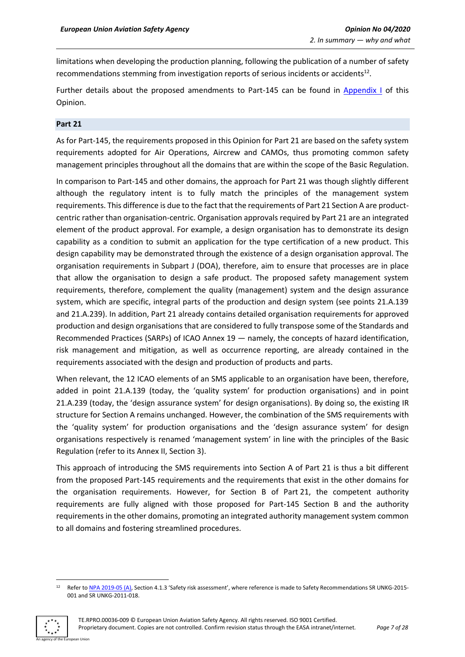limitations when developing the production planning, following the publication of a number of safety recommendations stemming from investigation reports of serious incidents or accidents<sup>12</sup>.

Further details about the proposed amendments to Part-145 can be found in [Appendix I](#page-17-1) of this Opinion.

#### **Part 21**

As for Part-145, the requirements proposed in this Opinion for Part 21 are based on the safety system requirements adopted for Air Operations, Aircrew and CAMOs, thus promoting common safety management principles throughout all the domains that are within the scope of the Basic Regulation.

In comparison to Part-145 and other domains, the approach for Part 21 was though slightly different although the regulatory intent is to fully match the principles of the management system requirements. This difference is due to the fact that the requirements of Part 21 Section A are productcentric rather than organisation-centric. Organisation approvals required by Part 21 are an integrated element of the product approval. For example, a design organisation has to demonstrate its design capability as a condition to submit an application for the type certification of a new product. This design capability may be demonstrated through the existence of a design organisation approval. The organisation requirements in Subpart J (DOA), therefore, aim to ensure that processes are in place that allow the organisation to design a safe product. The proposed safety management system requirements, therefore, complement the quality (management) system and the design assurance system, which are specific, integral parts of the production and design system (see points 21.A.139 and 21.A.239). In addition, Part 21 already contains detailed organisation requirements for approved production and design organisations that are considered to fully transpose some of the Standards and Recommended Practices (SARPs) of ICAO Annex 19 — namely, the concepts of hazard identification, risk management and mitigation, as well as occurrence reporting, are already contained in the requirements associated with the design and production of products and parts.

When relevant, the 12 ICAO elements of an SMS applicable to an organisation have been, therefore, added in point 21.A.139 (today, the 'quality system' for production organisations) and in point 21.A.239 (today, the 'design assurance system' for design organisations). By doing so, the existing IR structure for Section A remains unchanged. However, the combination of the SMS requirements with the 'quality system' for production organisations and the 'design assurance system' for design organisations respectively is renamed 'management system' in line with the principles of the Basic Regulation (refer to its Annex II, Section 3).

This approach of introducing the SMS requirements into Section A of Part 21 is thus a bit different from the proposed Part-145 requirements and the requirements that exist in the other domains for the organisation requirements. However, for Section B of Part 21, the competent authority requirements are fully aligned with those proposed for Part-145 Section B and the authority requirements in the other domains, promoting an integrated authority management system common to all domains and fostering streamlined procedures.

Refer t[o NPA 2019-05 \(A\),](https://www.easa.europa.eu/sites/default/files/dfu/NPA%202019-05%20%28A%29.pdf) Section 4.1.3 'Safety risk assessment', where reference is made to Safety Recommendations SR UNKG-2015-001 and SR UNKG-2011-018.

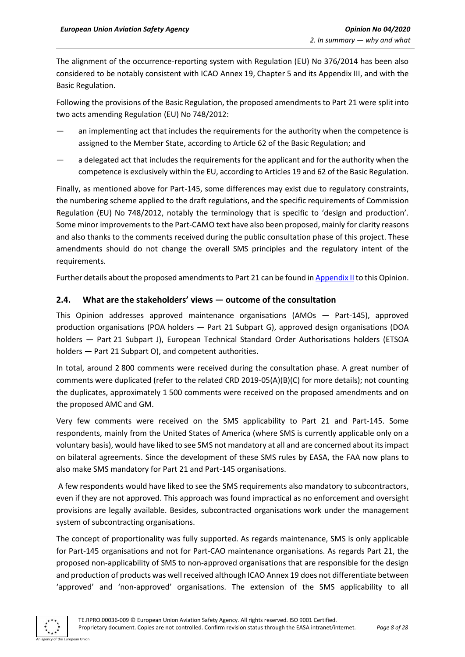The alignment of the occurrence-reporting system with Regulation (EU) No 376/2014 has been also considered to be notably consistent with ICAO Annex 19, Chapter 5 and its Appendix III, and with the Basic Regulation.

Following the provisions of the Basic Regulation, the proposed amendments to Part 21 were split into two acts amending Regulation (EU) No 748/2012:

- an implementing act that includes the requirements for the authority when the competence is assigned to the Member State, according to Article 62 of the Basic Regulation; and
- a delegated act that includes the requirements for the applicant and for the authority when the competence is exclusively within the EU, according to Articles 19 and 62 of the Basic Regulation.

Finally, as mentioned above for Part-145, some differences may exist due to regulatory constraints, the numbering scheme applied to the draft regulations, and the specific requirements of Commission Regulation (EU) No 748/2012, notably the terminology that is specific to 'design and production'. Some minor improvements to the Part-CAMO text have also been proposed, mainly for clarity reasons and also thanks to the comments received during the public consultation phase of this project. These amendments should do not change the overall SMS principles and the regulatory intent of the requirements.

Further details about the proposed amendments to Part 21 can be found i[n Appendix II](#page-22-0) to this Opinion.

## <span id="page-7-0"></span>**2.4. What are the stakeholders' views — outcome of the consultation**

This Opinion addresses approved maintenance organisations (AMOs — Part-145), approved production organisations (POA holders — Part 21 Subpart G), approved design organisations (DOA holders — Part 21 Subpart J), European Technical Standard Order Authorisations holders (ETSOA holders — Part 21 Subpart O), and competent authorities.

In total, around 2 800 comments were received during the consultation phase. A great number of comments were duplicated (refer to the related CRD 2019-05(A)(B)(C) for more details); not counting the duplicates, approximately 1 500 comments were received on the proposed amendments and on the proposed AMC and GM.

Very few comments were received on the SMS applicability to Part 21 and Part-145. Some respondents, mainly from the United States of America (where SMS is currently applicable only on a voluntary basis), would have liked to see SMS not mandatory at all and are concerned about its impact on bilateral agreements. Since the development of these SMS rules by EASA, the FAA now plans to also make SMS mandatory for Part 21 and Part-145 organisations.

A few respondents would have liked to see the SMS requirements also mandatory to subcontractors, even if they are not approved. This approach was found impractical as no enforcement and oversight provisions are legally available. Besides, subcontracted organisations work under the management system of subcontracting organisations.

The concept of proportionality was fully supported. As regards maintenance, SMS is only applicable for Part-145 organisations and not for Part-CAO maintenance organisations. As regards Part 21, the proposed non-applicability of SMS to non-approved organisations that are responsible for the design and production of products was well received although ICAO Annex 19 does not differentiate between 'approved' and 'non-approved' organisations. The extension of the SMS applicability to all

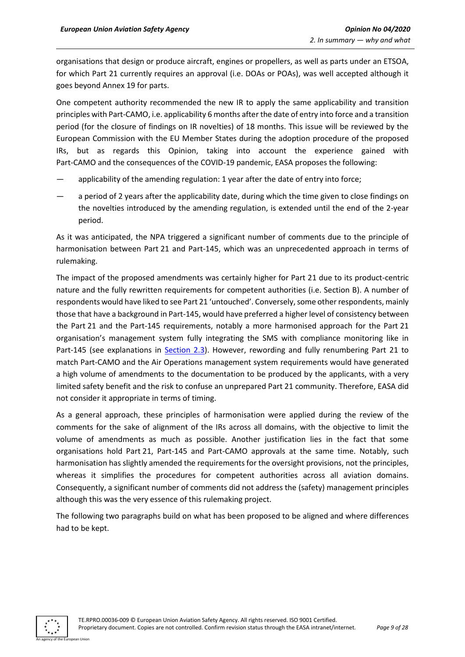organisations that design or produce aircraft, engines or propellers, as well as parts under an ETSOA, for which Part 21 currently requires an approval (i.e. DOAs or POAs), was well accepted although it goes beyond Annex 19 for parts.

One competent authority recommended the new IR to apply the same applicability and transition principles with Part-CAMO, i.e. applicability 6 months after the date of entry into force and a transition period (for the closure of findings on IR novelties) of 18 months. This issue will be reviewed by the European Commission with the EU Member States during the adoption procedure of the proposed IRs, but as regards this Opinion, taking into account the experience gained with Part-CAMO and the consequences of the COVID-19 pandemic, EASA proposes the following:

- applicability of the amending regulation: 1 year after the date of entry into force;
- a period of 2 years after the applicability date, during which the time given to close findings on the novelties introduced by the amending regulation, is extended until the end of the 2-year period.

As it was anticipated, the NPA triggered a significant number of comments due to the principle of harmonisation between Part 21 and Part-145, which was an unprecedented approach in terms of rulemaking.

The impact of the proposed amendments was certainly higher for Part 21 due to its product-centric nature and the fully rewritten requirements for competent authorities (i.e. Section B). A number of respondents would have liked to see Part 21 'untouched'. Conversely, some other respondents, mainly those that have a background in Part-145, would have preferred a higher level of consistency between the Part 21 and the Part-145 requirements, notably a more harmonised approach for the Part 21 organisation's management system fully integrating the SMS with compliance monitoring like in Part-145 (see explanations in [Section 2.3\)](#page-5-0). However, rewording and fully renumbering Part 21 to match Part-CAMO and the Air Operations management system requirements would have generated a high volume of amendments to the documentation to be produced by the applicants, with a very limited safety benefit and the risk to confuse an unprepared Part 21 community. Therefore, EASA did not consider it appropriate in terms of timing.

As a general approach, these principles of harmonisation were applied during the review of the comments for the sake of alignment of the IRs across all domains, with the objective to limit the volume of amendments as much as possible. Another justification lies in the fact that some organisations hold Part 21, Part-145 and Part-CAMO approvals at the same time. Notably, such harmonisation has slightly amended the requirements for the oversight provisions, not the principles, whereas it simplifies the procedures for competent authorities across all aviation domains. Consequently, a significant number of comments did not address the (safety) management principles although this was the very essence of this rulemaking project.

The following two paragraphs build on what has been proposed to be aligned and where differences had to be kept.

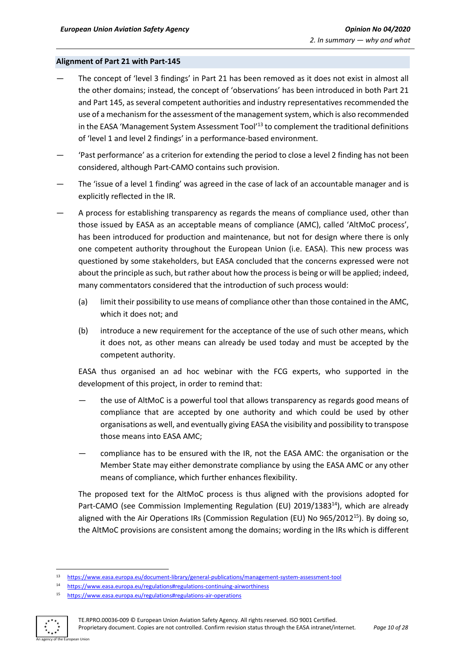#### **Alignment of Part 21 with Part-145**

- The concept of 'level 3 findings' in Part 21 has been removed as it does not exist in almost all the other domains; instead, the concept of 'observations' has been introduced in both Part 21 and Part 145, as several competent authorities and industry representatives recommended the use of a mechanism for the assessment of the management system, which is also recommended in the EASA 'Management System Assessment Tool'<sup>13</sup> to complement the traditional definitions of 'level 1 and level 2 findings' in a performance-based environment.
- 'Past performance' as a criterion for extending the period to close a level 2 finding has not been considered, although Part-CAMO contains such provision.
- The 'issue of a level 1 finding' was agreed in the case of lack of an accountable manager and is explicitly reflected in the IR.
- A process for establishing transparency as regards the means of compliance used, other than those issued by EASA as an acceptable means of compliance (AMC), called 'AltMoC process', has been introduced for production and maintenance, but not for design where there is only one competent authority throughout the European Union (i.e. EASA). This new process was questioned by some stakeholders, but EASA concluded that the concerns expressed were not about the principle as such, but rather about how the process is being or will be applied; indeed, many commentators considered that the introduction of such process would:
	- (a) limit their possibility to use means of compliance other than those contained in the AMC, which it does not; and
	- (b) introduce a new requirement for the acceptance of the use of such other means, which it does not, as other means can already be used today and must be accepted by the competent authority.

EASA thus organised an ad hoc webinar with the FCG experts, who supported in the development of this project, in order to remind that:

- the use of AltMoC is a powerful tool that allows transparency as regards good means of compliance that are accepted by one authority and which could be used by other organisations as well, and eventually giving EASA the visibility and possibility to transpose those means into EASA AMC;
- compliance has to be ensured with the IR, not the EASA AMC: the organisation or the Member State may either demonstrate compliance by using the EASA AMC or any other means of compliance, which further enhances flexibility.

The proposed text for the AltMoC process is thus aligned with the provisions adopted for Part-CAMO (see Commission Implementing Regulation (EU) 2019/1383<sup>14</sup>), which are already aligned with the Air Operations IRs (Commission Regulation (EU) No 965/2012<sup>15</sup>). By doing so, the AltMoC provisions are consistent among the domains; wording in the IRs which is different

<sup>15</sup> <https://www.easa.europa.eu/regulations#regulations-air-operations>



<sup>13</sup> <https://www.easa.europa.eu/document-library/general-publications/management-system-assessment-tool>

<sup>14</sup> <https://www.easa.europa.eu/regulations#regulations-continuing-airworthiness>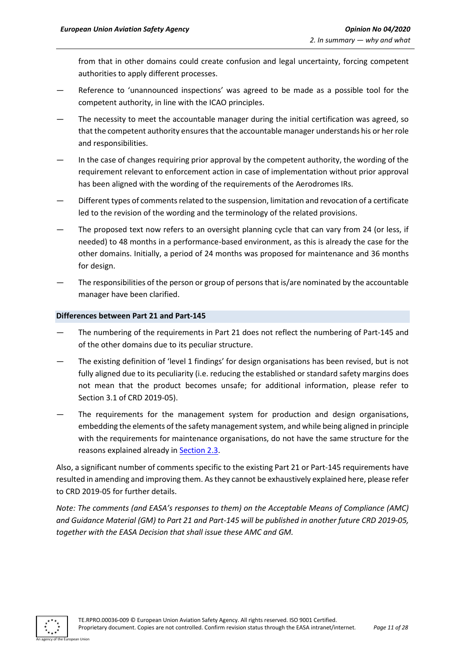from that in other domains could create confusion and legal uncertainty, forcing competent authorities to apply different processes.

- Reference to 'unannounced inspections' was agreed to be made as a possible tool for the competent authority, in line with the ICAO principles.
- The necessity to meet the accountable manager during the initial certification was agreed, so that the competent authority ensures that the accountable manager understands his or her role and responsibilities.
- In the case of changes requiring prior approval by the competent authority, the wording of the requirement relevant to enforcement action in case of implementation without prior approval has been aligned with the wording of the requirements of the Aerodromes IRs.
- Different types of comments related to the suspension, limitation and revocation of a certificate led to the revision of the wording and the terminology of the related provisions.
- The proposed text now refers to an oversight planning cycle that can vary from 24 (or less, if needed) to 48 months in a performance-based environment, as this is already the case for the other domains. Initially, a period of 24 months was proposed for maintenance and 36 months for design.
- The responsibilities of the person or group of persons that is/are nominated by the accountable manager have been clarified.

## **Differences between Part 21 and Part-145**

- The numbering of the requirements in Part 21 does not reflect the numbering of Part-145 and of the other domains due to its peculiar structure.
- The existing definition of 'level 1 findings' for design organisations has been revised, but is not fully aligned due to its peculiarity (i.e. reducing the established or standard safety margins does not mean that the product becomes unsafe; for additional information, please refer to Section 3.1 of CRD 2019-05).
- The requirements for the management system for production and design organisations, embedding the elements of the safety management system, and while being aligned in principle with the requirements for maintenance organisations, do not have the same structure for the reasons explained already in [Section 2.3.](#page-5-0)

Also, a significant number of comments specific to the existing Part 21 or Part-145 requirements have resulted in amending and improving them. As they cannot be exhaustively explained here, please refer to CRD 2019-05 for further details.

<span id="page-10-0"></span>*Note: The comments (and EASA's responses to them) on the Acceptable Means of Compliance (AMC) and Guidance Material (GM) to Part 21 and Part-145 will be published in another future CRD 2019-05, together with the EASA Decision that shall issue these AMC and GM.*

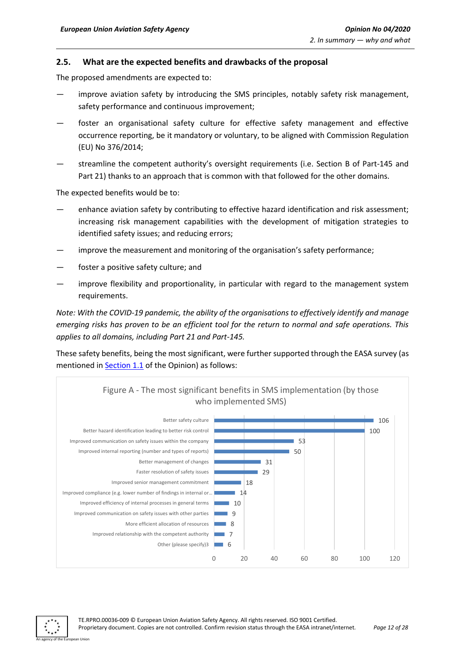#### <span id="page-11-0"></span>**2.5. What are the expected benefits and drawbacks of the proposal**

The proposed amendments are expected to:

- improve aviation safety by introducing the SMS principles, notably safety risk management, safety performance and continuous improvement;
- foster an organisational safety culture for effective safety management and effective occurrence reporting, be it mandatory or voluntary, to be aligned with Commission Regulation (EU) No 376/2014;
- streamline the competent authority's oversight requirements (i.e. Section B of Part-145 and Part 21) thanks to an approach that is common with that followed for the other domains.

The expected benefits would be to:

- enhance aviation safety by contributing to effective hazard identification and risk assessment; increasing risk management capabilities with the development of mitigation strategies to identified safety issues; and reducing errors;
- improve the measurement and monitoring of the organisation's safety performance;
- foster a positive safety culture; and
- improve flexibility and proportionality, in particular with regard to the management system requirements.

*Note: With the COVID-19 pandemic, the ability of the organisations to effectively identify and manage emerging risks has proven to be an efficient tool for the return to normal and safe operations. This applies to all domains, including Part 21 and Part-145.*

These safety benefits, being the most significant, were further supported through the EASA survey (as mentioned in **Section 1.1** of the Opinion) as follows:



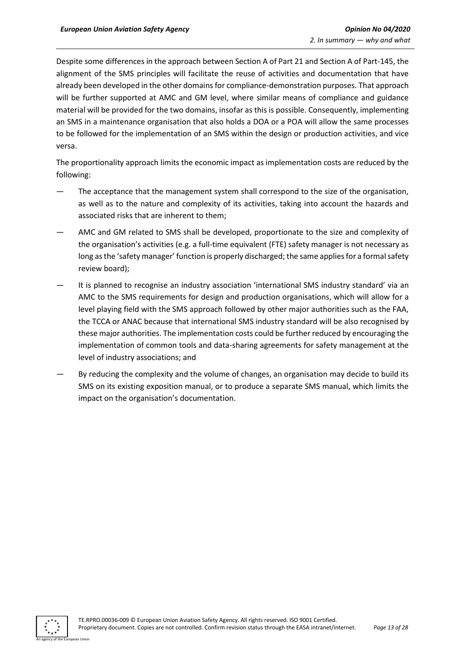Despite some differences in the approach between Section A of Part 21 and Section A of Part-145, the alignment of the SMS principles will facilitate the reuse of activities and documentation that have already been developed in the other domains for compliance-demonstration purposes. That approach will be further supported at AMC and GM level, where similar means of compliance and guidance material will be provided for the two domains, insofar as this is possible. Consequently, implementing an SMS in a maintenance organisation that also holds a DOA or a POA will allow the same processes to be followed for the implementation of an SMS within the design or production activities, and vice versa.

The proportionality approach limits the economic impact as implementation costs are reduced by the following:

- The acceptance that the management system shall correspond to the size of the organisation, as well as to the nature and complexity of its activities, taking into account the hazards and associated risks that are inherent to them;
- AMC and GM related to SMS shall be developed, proportionate to the size and complexity of the organisation's activities (e.g. a full-time equivalent (FTE) safety manager is not necessary as long as the 'safety manager' function is properly discharged; the same applies for a formal safety review board);
- It is planned to recognise an industry association 'international SMS industry standard' via an AMC to the SMS requirements for design and production organisations, which will allow for a level playing field with the SMS approach followed by other major authorities such as the FAA, the TCCA or ANAC because that international SMS industry standard will be also recognised by these major authorities. The implementation costs could be further reduced by encouraging the implementation of common tools and data-sharing agreements for safety management at the level of industry associations; and
- By reducing the complexity and the volume of changes, an organisation may decide to build its SMS on its existing exposition manual, or to produce a separate SMS manual, which limits the impact on the organisation's documentation.

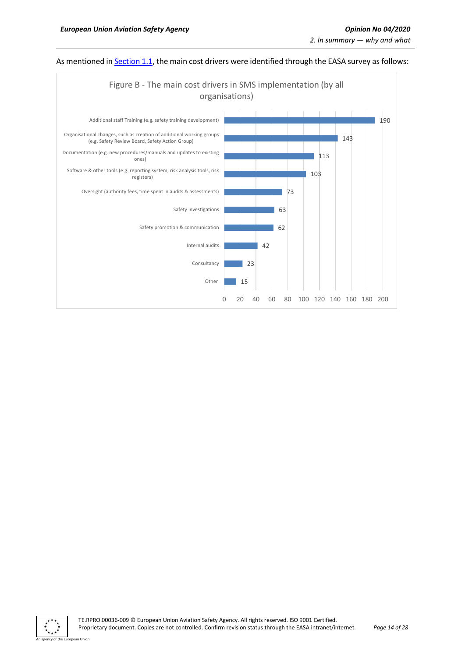

#### As mentioned in **Section 1.1**, the main cost drivers were identified through the EASA survey as follows:



.<br>An I Ini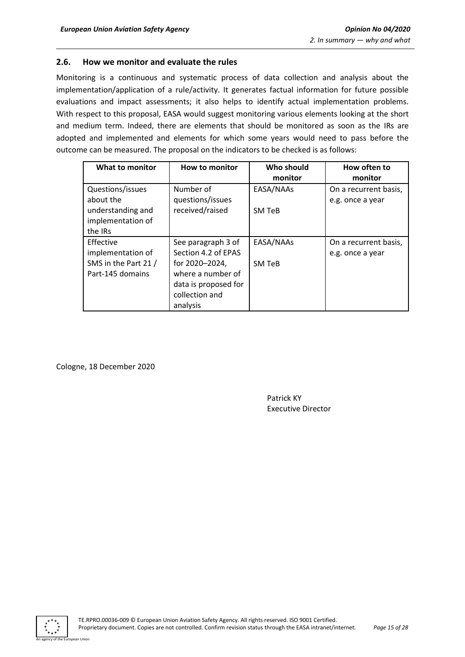## <span id="page-14-0"></span>**2.6. How we monitor and evaluate the rules**

Monitoring is a continuous and systematic process of data collection and analysis about the implementation/application of a rule/activity. It generates factual information for future possible evaluations and impact assessments; it also helps to identify actual implementation problems. With respect to this proposal, EASA would suggest monitoring various elements looking at the short and medium term. Indeed, there are elements that should be monitored as soon as the IRs are adopted and implemented and elements for which some years would need to pass before the outcome can be measured. The proposal on the indicators to be checked is as follows:

| What to monitor      | <b>How to monitor</b> | Who should<br>monitor | How often to<br>monitor |
|----------------------|-----------------------|-----------------------|-------------------------|
| Questions/issues     | Number of             | EASA/NAAs             | On a recurrent basis,   |
| about the            | questions/issues      |                       | e.g. once a year        |
| understanding and    | received/raised       | SM TeB                |                         |
| implementation of    |                       |                       |                         |
| the IRs              |                       |                       |                         |
| Effective            | See paragraph 3 of    | EASA/NAAs             | On a recurrent basis,   |
| implementation of    | Section 4.2 of EPAS   |                       | e.g. once a year        |
| SMS in the Part 21 / | for 2020–2024,        | <b>SM TeB</b>         |                         |
| Part-145 domains     | where a number of     |                       |                         |
|                      | data is proposed for  |                       |                         |
|                      | collection and        |                       |                         |
|                      | analysis              |                       |                         |

Cologne, 18 December 2020

Patrick KY Executive Director

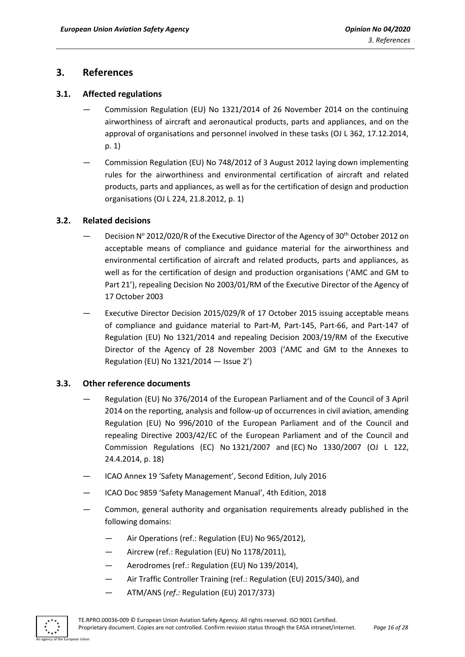# <span id="page-15-0"></span>**3. References**

## <span id="page-15-1"></span>**3.1. Affected regulations**

- Commission Regulation (EU) No 1321/2014 of 26 November 2014 on the continuing airworthiness of aircraft and aeronautical products, parts and appliances, and on the approval of organisations and personnel involved in these tasks (OJ L 362, 17.12.2014, p. 1)
- Commission Regulation (EU) No 748/2012 of 3 August 2012 laying down implementing rules for the airworthiness and environmental certification of aircraft and related products, parts and appliances, as well as for the certification of design and production organisations (OJ L 224, 21.8.2012, p. 1)

## <span id="page-15-2"></span>**3.2. Related decisions**

- Decision  $N^{\circ}$  2012/020/R of the Executive Director of the Agency of 30<sup>th</sup> October 2012 on acceptable means of compliance and guidance material for the airworthiness and environmental certification of aircraft and related products, parts and appliances, as well as for the certification of design and production organisations ('AMC and GM to Part 21'), repealing Decision No 2003/01/RM of the Executive Director of the Agency of 17 October 2003
- Executive Director Decision 2015/029/R of 17 October 2015 issuing acceptable means of compliance and guidance material to Part-M, Part-145, Part-66, and Part-147 of Regulation (EU) No 1321/2014 and repealing Decision 2003/19/RM of the Executive Director of the Agency of 28 November 2003 ('AMC and GM to the Annexes to Regulation (EU) No 1321/2014 — Issue 2')

## <span id="page-15-3"></span>**3.3. Other reference documents**

- Regulation (EU) No 376/2014 of the European Parliament and of the Council of 3 April 2014 on the reporting, analysis and follow-up of occurrences in civil aviation, amending Regulation (EU) No 996/2010 of the European Parliament and of the Council and repealing Directive 2003/42/EC of the European Parliament and of the Council and Commission Regulations (EC) No 1321/2007 and (EC) No 1330/2007 (OJ L 122, 24.4.2014, p. 18)
- ICAO Annex 19 'Safety Management', Second Edition, July 2016
- ICAO Doc 9859 'Safety Management Manual', 4th Edition, 2018
- Common, general authority and organisation requirements already published in the following domains:
	- Air Operations (ref.: Regulation (EU) No 965/2012),
	- Aircrew (ref.: Regulation (EU) No 1178/2011),
	- Aerodromes (ref.: Regulation (EU) No 139/2014),
	- Air Traffic Controller Training (ref.: Regulation (EU) 2015/340), and
	- ATM/ANS (*ref*.*:* Regulation (EU) 2017/373)

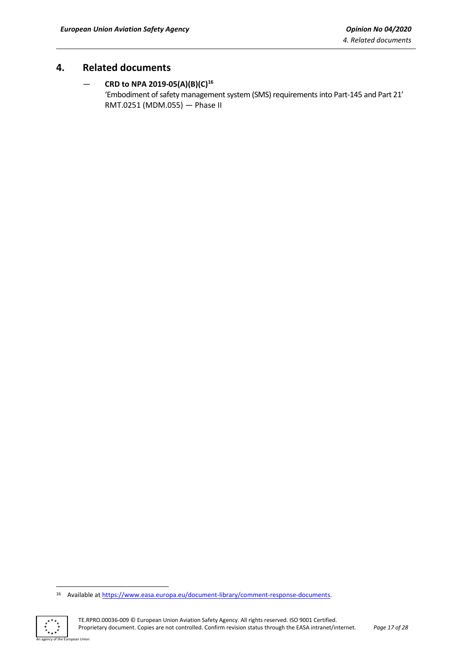# <span id="page-16-0"></span>**4. Related documents**

# — **CRD to NPA 2019-05(A)(B)(C)<sup>16</sup>**

'Embodiment of safety management system (SMS) requirements into Part-145 and Part 21' RMT.0251 (MDM.055) — Phase II

<sup>16</sup> Available at [https://www.easa.europa.eu/document-library/comment-response-documents.](https://www.easa.europa.eu/document-library/comment-response-documents)



an Union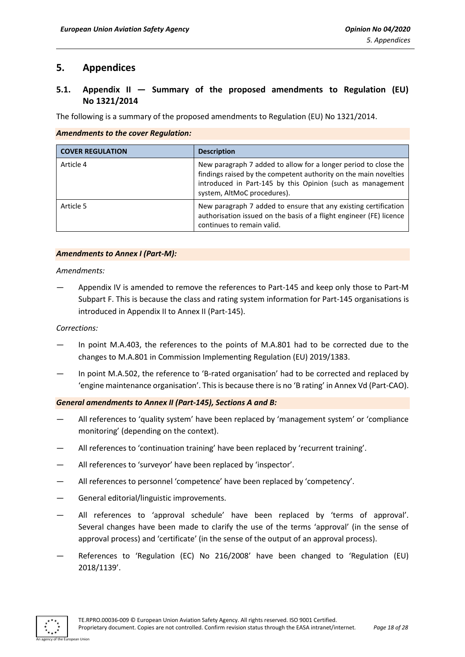# <span id="page-17-0"></span>**5. Appendices**

# <span id="page-17-1"></span>**5.1. Appendix II — Summary of the proposed amendments to Regulation (EU) No 1321/2014**

The following is a summary of the proposed amendments to Regulation (EU) No 1321/2014.

#### *Amendments to the cover Regulation:*

| <b>COVER REGULATION</b> | <b>Description</b>                                                                                                                                                                                                               |
|-------------------------|----------------------------------------------------------------------------------------------------------------------------------------------------------------------------------------------------------------------------------|
| Article 4               | New paragraph 7 added to allow for a longer period to close the<br>findings raised by the competent authority on the main novelties<br>introduced in Part-145 by this Opinion (such as management<br>system, AltMoC procedures). |
| Article 5               | New paragraph 7 added to ensure that any existing certification<br>authorisation issued on the basis of a flight engineer (FE) licence<br>continues to remain valid.                                                             |

#### *Amendments to Annex I (Part-M):*

*Amendments:*

— Appendix IV is amended to remove the references to Part-145 and keep only those to Part-M Subpart F. This is because the class and rating system information for Part-145 organisations is introduced in Appendix II to Annex II (Part-145).

*Corrections:*

- In point M.A.403, the references to the points of M.A.801 had to be corrected due to the changes to M.A.801 in Commission Implementing Regulation (EU) 2019/1383.
- In point M.A.502, the reference to 'B-rated organisation' had to be corrected and replaced by 'engine maintenance organisation'. This is because there is no 'B rating' in Annex Vd (Part-CAO).

#### *General amendments to Annex II (Part-145), Sections A and B:*

- All references to 'quality system' have been replaced by 'management system' or 'compliance monitoring' (depending on the context).
- All references to 'continuation training' have been replaced by 'recurrent training'.
- All references to 'surveyor' have been replaced by 'inspector'.
- All references to personnel 'competence' have been replaced by 'competency'.
- General editorial/linguistic improvements.
- All references to 'approval schedule' have been replaced by 'terms of approval'. Several changes have been made to clarify the use of the terms 'approval' (in the sense of approval process) and 'certificate' (in the sense of the output of an approval process).
- References to 'Regulation (EC) No 216/2008' have been changed to 'Regulation (EU) 2018/1139'.

An agency of the European Union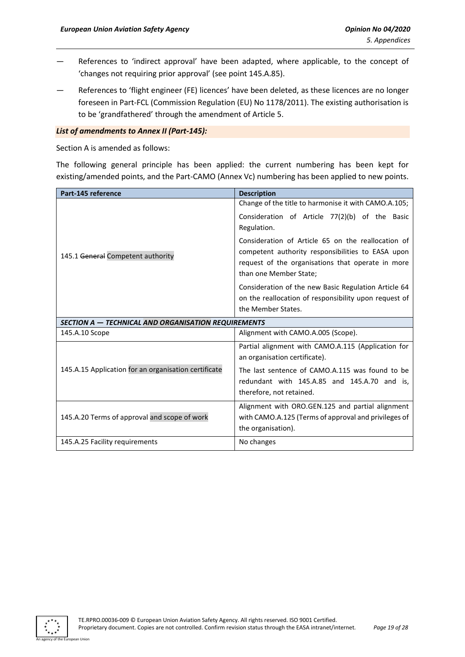- References to 'indirect approval' have been adapted, where applicable, to the concept of 'changes not requiring prior approval' (see point 145.A.85).
- References to 'flight engineer (FE) licences' have been deleted, as these licences are no longer foreseen in Part-FCL (Commission Regulation (EU) No 1178/2011). The existing authorisation is to be 'grandfathered' through the amendment of Article 5.

#### *List of amendments to Annex II (Part-145):*

Section A is amended as follows:

The following general principle has been applied: the current numbering has been kept for existing/amended points, and the Part-CAMO (Annex Vc) numbering has been applied to new points.

| Part-145 reference                                   | <b>Description</b>                                    |
|------------------------------------------------------|-------------------------------------------------------|
|                                                      | Change of the title to harmonise it with CAMO.A.105;  |
|                                                      | Consideration of Article 77(2)(b) of the Basic        |
|                                                      | Regulation.                                           |
|                                                      | Consideration of Article 65 on the reallocation of    |
| 145.1 General Competent authority                    | competent authority responsibilities to EASA upon     |
|                                                      | request of the organisations that operate in more     |
|                                                      | than one Member State;                                |
|                                                      | Consideration of the new Basic Regulation Article 64  |
|                                                      | on the reallocation of responsibility upon request of |
|                                                      | the Member States.                                    |
| SECTION A - TECHNICAL AND ORGANISATION REQUIREMENTS  |                                                       |
| 145.A.10 Scope                                       | Alignment with CAMO.A.005 (Scope).                    |
|                                                      | Partial alignment with CAMO.A.115 (Application for    |
|                                                      | an organisation certificate).                         |
| 145.A.15 Application for an organisation certificate | The last sentence of CAMO.A.115 was found to be       |
|                                                      | redundant with 145.A.85 and 145.A.70 and is.          |
|                                                      | therefore, not retained.                              |
|                                                      | Alignment with ORO.GEN.125 and partial alignment      |
| 145.A.20 Terms of approval and scope of work         | with CAMO.A.125 (Terms of approval and privileges of  |
|                                                      | the organisation).                                    |
| 145.A.25 Facility requirements                       | No changes                                            |

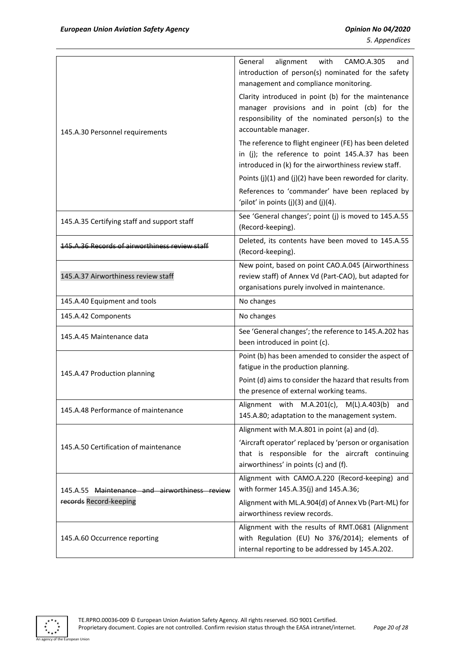| 145.A.30 Personnel requirements                                         | alignment<br>with<br>CAMO.A.305<br>General<br>and<br>introduction of person(s) nominated for the safety<br>management and compliance monitoring.<br>Clarity introduced in point (b) for the maintenance<br>manager provisions and in point (cb) for the<br>responsibility of the nominated person(s) to the<br>accountable manager.<br>The reference to flight engineer (FE) has been deleted<br>in (j); the reference to point 145.A.37 has been<br>introduced in (k) for the airworthiness review staff.<br>Points $(j)(1)$ and $(j)(2)$ have been reworded for clarity.<br>References to 'commander' have been replaced by<br>'pilot' in points $(j)(3)$ and $(j)(4)$ . |
|-------------------------------------------------------------------------|----------------------------------------------------------------------------------------------------------------------------------------------------------------------------------------------------------------------------------------------------------------------------------------------------------------------------------------------------------------------------------------------------------------------------------------------------------------------------------------------------------------------------------------------------------------------------------------------------------------------------------------------------------------------------|
| 145.A.35 Certifying staff and support staff                             | See 'General changes'; point (j) is moved to 145.A.55<br>(Record-keeping).                                                                                                                                                                                                                                                                                                                                                                                                                                                                                                                                                                                                 |
| <u>145.A.36 Records of airworthiness review staff</u>                   | Deleted, its contents have been moved to 145.A.55<br>(Record-keeping).                                                                                                                                                                                                                                                                                                                                                                                                                                                                                                                                                                                                     |
| 145.A.37 Airworthiness review staff                                     | New point, based on point CAO.A.045 (Airworthiness<br>review staff) of Annex Vd (Part-CAO), but adapted for<br>organisations purely involved in maintenance.                                                                                                                                                                                                                                                                                                                                                                                                                                                                                                               |
| 145.A.40 Equipment and tools                                            | No changes                                                                                                                                                                                                                                                                                                                                                                                                                                                                                                                                                                                                                                                                 |
| 145.A.42 Components                                                     | No changes                                                                                                                                                                                                                                                                                                                                                                                                                                                                                                                                                                                                                                                                 |
| 145.A.45 Maintenance data                                               | See 'General changes'; the reference to 145.A.202 has<br>been introduced in point (c).                                                                                                                                                                                                                                                                                                                                                                                                                                                                                                                                                                                     |
| 145.A.47 Production planning                                            | Point (b) has been amended to consider the aspect of<br>fatigue in the production planning.<br>Point (d) aims to consider the hazard that results from<br>the presence of external working teams.                                                                                                                                                                                                                                                                                                                                                                                                                                                                          |
| 145.A.48 Performance of maintenance                                     | Alignment with M.A.201(c), M(L).A.403(b)<br>and<br>145.A.80; adaptation to the management system.                                                                                                                                                                                                                                                                                                                                                                                                                                                                                                                                                                          |
| 145.A.50 Certification of maintenance                                   | Alignment with M.A.801 in point (a) and (d).<br>'Aircraft operator' replaced by 'person or organisation<br>that is responsible for the aircraft continuing<br>airworthiness' in points (c) and (f).                                                                                                                                                                                                                                                                                                                                                                                                                                                                        |
| 145.A.55 Maintenance and airworthiness review<br>records Record-keeping | Alignment with CAMO.A.220 (Record-keeping) and<br>with former 145.A.35(j) and 145.A.36;<br>Alignment with ML.A.904(d) of Annex Vb (Part-ML) for<br>airworthiness review records.                                                                                                                                                                                                                                                                                                                                                                                                                                                                                           |
| 145.A.60 Occurrence reporting                                           | Alignment with the results of RMT.0681 (Alignment<br>with Regulation (EU) No 376/2014); elements of<br>internal reporting to be addressed by 145.A.202.                                                                                                                                                                                                                                                                                                                                                                                                                                                                                                                    |

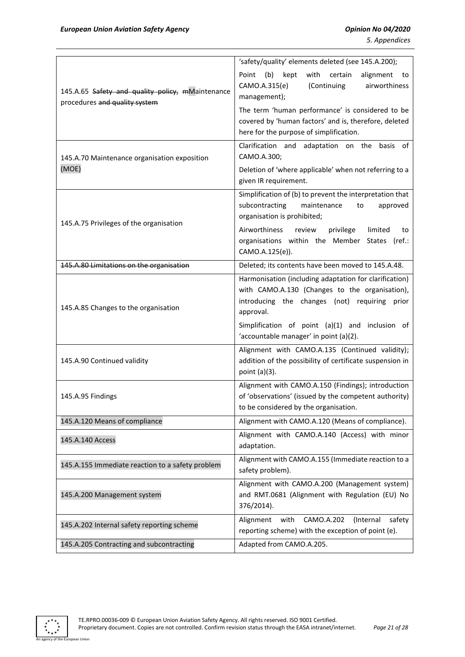|                                                                                   | 'safety/quality' elements deleted (see 145.A.200);                                                                                                                     |
|-----------------------------------------------------------------------------------|------------------------------------------------------------------------------------------------------------------------------------------------------------------------|
| 145.A.65 Safety and quality policy, mMaintenance<br>procedures and quality system | (b)<br>kept<br>with<br>certain<br>Point<br>alignment<br>to<br>CAMO.A.315(e)<br>(Continuing<br>airworthiness<br>management);                                            |
|                                                                                   | The term 'human performance' is considered to be<br>covered by 'human factors' and is, therefore, deleted<br>here for the purpose of simplification.                   |
| 145.A.70 Maintenance organisation exposition                                      | Clarification and adaptation on the<br>basis of<br>CAMO.A.300;                                                                                                         |
| (MOE)                                                                             | Deletion of 'where applicable' when not referring to a<br>given IR requirement.                                                                                        |
| 145.A.75 Privileges of the organisation                                           | Simplification of (b) to prevent the interpretation that<br>subcontracting<br>maintenance<br>approved<br>to<br>organisation is prohibited;                             |
|                                                                                   | Airworthiness<br>review<br>privilege<br>limited<br>to<br>organisations within the Member States (ref.:<br>CAMO.A.125(e)).                                              |
| 145.A.80 Limitations on the organisation                                          | Deleted; its contents have been moved to 145.A.48.                                                                                                                     |
| 145.A.85 Changes to the organisation                                              | Harmonisation (including adaptation for clarification)<br>with CAMO.A.130 (Changes to the organisation),<br>introducing the changes (not) requiring prior<br>approval. |
|                                                                                   | Simplification of point (a)(1) and inclusion of<br>'accountable manager' in point (a)(2).                                                                              |
| 145.A.90 Continued validity                                                       | Alignment with CAMO.A.135 (Continued validity);<br>addition of the possibility of certificate suspension in<br>point (a)(3).                                           |
| 145.A.95 Findings                                                                 | Alignment with CAMO.A.150 (Findings); introduction<br>of 'observations' (issued by the competent authority)<br>to be considered by the organisation.                   |
| 145.A.120 Means of compliance                                                     | Alignment with CAMO.A.120 (Means of compliance).                                                                                                                       |
| 145.A.140 Access                                                                  | Alignment with CAMO.A.140 (Access) with minor<br>adaptation.                                                                                                           |
| 145.A.155 Immediate reaction to a safety problem                                  | Alignment with CAMO.A.155 (Immediate reaction to a<br>safety problem).                                                                                                 |
| 145.A.200 Management system                                                       | Alignment with CAMO.A.200 (Management system)<br>and RMT.0681 (Alignment with Regulation (EU) No<br>376/2014).                                                         |
| 145.A.202 Internal safety reporting scheme                                        | CAMO.A.202<br>Alignment<br>with<br>(Internal<br>safety<br>reporting scheme) with the exception of point (e).                                                           |
| 145.A.205 Contracting and subcontracting                                          | Adapted from CAMO.A.205.                                                                                                                                               |

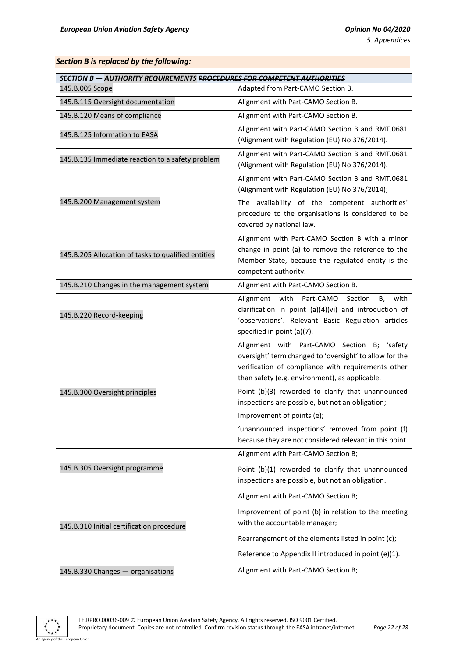#### *Section B is replaced by the following:*

| <b>SECTION B - AUTHORITY REQUIREMENTS PROCEDURES FOR COMPETENT AUTHORITIES</b> |                                                                                                                                                                                                                                                                                                                                                                                                                                                                      |  |  |
|--------------------------------------------------------------------------------|----------------------------------------------------------------------------------------------------------------------------------------------------------------------------------------------------------------------------------------------------------------------------------------------------------------------------------------------------------------------------------------------------------------------------------------------------------------------|--|--|
| 145.B.005 Scope                                                                | Adapted from Part-CAMO Section B.                                                                                                                                                                                                                                                                                                                                                                                                                                    |  |  |
| 145.B.115 Oversight documentation                                              | Alignment with Part-CAMO Section B.                                                                                                                                                                                                                                                                                                                                                                                                                                  |  |  |
| 145.B.120 Means of compliance                                                  | Alignment with Part-CAMO Section B.                                                                                                                                                                                                                                                                                                                                                                                                                                  |  |  |
| 145.B.125 Information to EASA                                                  | Alignment with Part-CAMO Section B and RMT.0681<br>(Alignment with Regulation (EU) No 376/2014).                                                                                                                                                                                                                                                                                                                                                                     |  |  |
| 145.B.135 Immediate reaction to a safety problem                               | Alignment with Part-CAMO Section B and RMT.0681<br>(Alignment with Regulation (EU) No 376/2014).                                                                                                                                                                                                                                                                                                                                                                     |  |  |
| 145.B.200 Management system                                                    | Alignment with Part-CAMO Section B and RMT.0681<br>(Alignment with Regulation (EU) No 376/2014);<br>The availability of the competent authorities'<br>procedure to the organisations is considered to be<br>covered by national law.                                                                                                                                                                                                                                 |  |  |
| 145.B.205 Allocation of tasks to qualified entities                            | Alignment with Part-CAMO Section B with a minor<br>change in point (a) to remove the reference to the<br>Member State, because the regulated entity is the<br>competent authority.                                                                                                                                                                                                                                                                                   |  |  |
| 145.B.210 Changes in the management system                                     | Alignment with Part-CAMO Section B.                                                                                                                                                                                                                                                                                                                                                                                                                                  |  |  |
| 145.B.220 Record-keeping                                                       | Alignment<br>with<br>Part-CAMO<br>Section<br>with<br>B.<br>clarification in point (a)(4)(vi) and introduction of<br>'observations'. Relevant Basic Regulation articles<br>specified in point (a)(7).                                                                                                                                                                                                                                                                 |  |  |
| 145.B.300 Oversight principles                                                 | Alignment with Part-CAMO Section B; 'safety<br>oversight' term changed to 'oversight' to allow for the<br>verification of compliance with requirements other<br>than safety (e.g. environment), as applicable.<br>Point (b)(3) reworded to clarify that unannounced<br>inspections are possible, but not an obligation;<br>Improvement of points (e);<br>'unannounced inspections' removed from point (f)<br>because they are not considered relevant in this point. |  |  |
| 145.B.305 Oversight programme                                                  | Alignment with Part-CAMO Section B;<br>Point (b)(1) reworded to clarify that unannounced<br>inspections are possible, but not an obligation.                                                                                                                                                                                                                                                                                                                         |  |  |
| 145.B.310 Initial certification procedure                                      | Alignment with Part-CAMO Section B;<br>Improvement of point (b) in relation to the meeting<br>with the accountable manager;<br>Rearrangement of the elements listed in point (c);<br>Reference to Appendix II introduced in point (e)(1).                                                                                                                                                                                                                            |  |  |
| 145.B.330 Changes - organisations                                              | Alignment with Part-CAMO Section B;                                                                                                                                                                                                                                                                                                                                                                                                                                  |  |  |

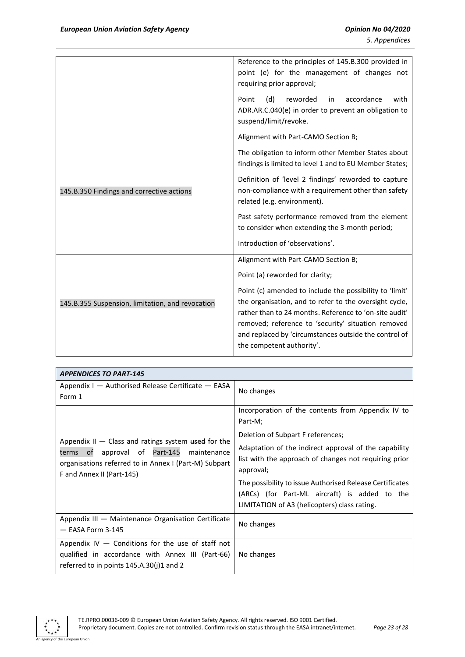|                                                  | Reference to the principles of 145.B.300 provided in<br>point (e) for the management of changes not<br>requiring prior approval;<br>Point<br>reworded<br>accordance<br>with<br>(d)<br>in.<br>ADR.AR.C.040(e) in order to prevent an obligation to                                                                       |
|--------------------------------------------------|-------------------------------------------------------------------------------------------------------------------------------------------------------------------------------------------------------------------------------------------------------------------------------------------------------------------------|
|                                                  | suspend/limit/revoke.                                                                                                                                                                                                                                                                                                   |
|                                                  | Alignment with Part-CAMO Section B;                                                                                                                                                                                                                                                                                     |
|                                                  | The obligation to inform other Member States about<br>findings is limited to level 1 and to EU Member States;                                                                                                                                                                                                           |
| 145.B.350 Findings and corrective actions        | Definition of 'level 2 findings' reworded to capture<br>non-compliance with a requirement other than safety<br>related (e.g. environment).                                                                                                                                                                              |
|                                                  | Past safety performance removed from the element<br>to consider when extending the 3-month period;                                                                                                                                                                                                                      |
|                                                  | Introduction of 'observations'.                                                                                                                                                                                                                                                                                         |
|                                                  | Alignment with Part-CAMO Section B;                                                                                                                                                                                                                                                                                     |
|                                                  | Point (a) reworded for clarity;                                                                                                                                                                                                                                                                                         |
| 145.B.355 Suspension, limitation, and revocation | Point (c) amended to include the possibility to 'limit'<br>the organisation, and to refer to the oversight cycle,<br>rather than to 24 months. Reference to 'on-site audit'<br>removed; reference to 'security' situation removed<br>and replaced by 'circumstances outside the control of<br>the competent authority'. |

| <b>APPENDICES TO PART-145</b>                                                                                                                                                                   |                                                                                                                                                           |  |
|-------------------------------------------------------------------------------------------------------------------------------------------------------------------------------------------------|-----------------------------------------------------------------------------------------------------------------------------------------------------------|--|
| Appendix $I -$ Authorised Release Certificate $-$ EASA<br>Form 1                                                                                                                                | No changes                                                                                                                                                |  |
|                                                                                                                                                                                                 | Incorporation of the contents from Appendix IV to<br>Part-M;                                                                                              |  |
|                                                                                                                                                                                                 | Deletion of Subpart F references;                                                                                                                         |  |
| Appendix $II - Class$ and ratings system used for the<br>terms of approval of Part-145 maintenance<br>organisations referred to in Annex I (Part-M) Subpart<br><b>F</b> and Annex II (Part-145) | Adaptation of the indirect approval of the capability<br>list with the approach of changes not requiring prior<br>approval;                               |  |
|                                                                                                                                                                                                 | The possibility to issue Authorised Release Certificates<br>(ARCs) (for Part-ML aircraft) is added to the<br>LIMITATION of A3 (helicopters) class rating. |  |
| Appendix III - Maintenance Organisation Certificate<br>$-$ EASA Form 3-145                                                                                                                      | No changes                                                                                                                                                |  |
| Appendix $IV -$ Conditions for the use of staff not<br>qualified in accordance with Annex III (Part-66)<br>referred to in points $145.A.30(j)1$ and 2                                           | No changes                                                                                                                                                |  |

<span id="page-22-0"></span>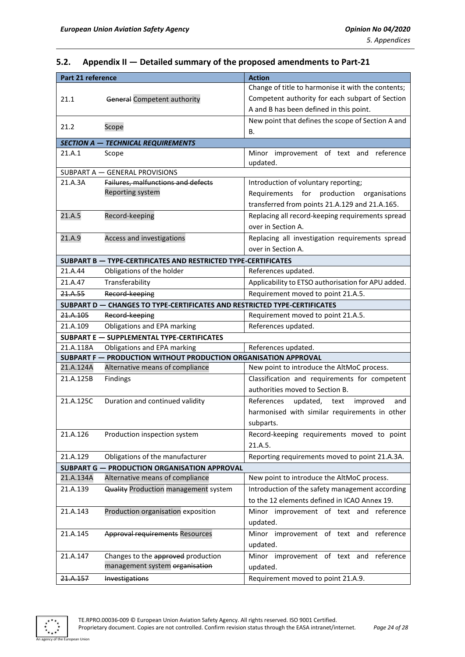# <span id="page-23-0"></span>**5.2. Appendix II — Detailed summary of the proposed amendments to Part-21**

| Part 21 reference |                                                                           | <b>Action</b>                                      |
|-------------------|---------------------------------------------------------------------------|----------------------------------------------------|
|                   |                                                                           | Change of title to harmonise it with the contents; |
| 21.1              | General Competent authority                                               | Competent authority for each subpart of Section    |
|                   |                                                                           | A and B has been defined in this point.            |
|                   |                                                                           | New point that defines the scope of Section A and  |
| 21.2              | Scope                                                                     | В.                                                 |
|                   | <b>SECTION A - TECHNICAL REQUIREMENTS</b>                                 |                                                    |
| 21.A.1            | Scope                                                                     | Minor improvement of text and reference            |
|                   |                                                                           | updated.                                           |
|                   | SUBPART A - GENERAL PROVISIONS                                            |                                                    |
| 21.A.3A           | Failures, malfunctions and defects                                        | Introduction of voluntary reporting;               |
|                   | Reporting system                                                          | production organisations<br>Requirements<br>for    |
|                   |                                                                           | transferred from points 21.A.129 and 21.A.165.     |
| 21.A.5            | Record-keeping                                                            | Replacing all record-keeping requirements spread   |
|                   |                                                                           | over in Section A.                                 |
| 21.A.9            | Access and investigations                                                 | Replacing all investigation requirements spread    |
|                   |                                                                           | over in Section A.                                 |
|                   | SUBPART B - TYPE-CERTIFICATES AND RESTRICTED TYPE-CERTIFICATES            |                                                    |
| 21.A.44           | Obligations of the holder                                                 | References updated.                                |
| 21.A.47           | Transferability                                                           | Applicability to ETSO authorisation for APU added. |
| 21.A.55           | Record-keeping                                                            | Requirement moved to point 21.A.5.                 |
|                   | SUBPART D - CHANGES TO TYPE-CERTIFICATES AND RESTRICTED TYPE-CERTIFICATES |                                                    |
| 21.A.105          | Record-keeping                                                            | Requirement moved to point 21.A.5.                 |
| 21.A.109          | Obligations and EPA marking                                               | References updated.                                |
|                   | <b>SUBPART E - SUPPLEMENTAL TYPE-CERTIFICATES</b>                         |                                                    |
| 21.A.118A         | Obligations and EPA marking                                               | References updated.                                |
|                   | SUBPART F - PRODUCTION WITHOUT PRODUCTION ORGANISATION APPROVAL           |                                                    |
| 21.A.124A         | Alternative means of compliance                                           | New point to introduce the AltMoC process.         |
| 21.A.125B         | Findings                                                                  | Classification and requirements for competent      |
|                   |                                                                           | authorities moved to Section B.                    |
| 21.A.125C         | Duration and continued validity                                           | References<br>updated, text<br>improved<br>and     |
|                   |                                                                           | harmonised with similar requirements in other      |
|                   |                                                                           | subparts.                                          |
| 21.A.126          | Production inspection system                                              | Record-keeping requirements moved to point         |
|                   |                                                                           | 21.A.5.                                            |
| 21.A.129          | Obligations of the manufacturer                                           | Reporting requirements moved to point 21.A.3A.     |
| <b>SUBPART G-</b> | PRODUCTION ORGANISATION APPROVAL                                          |                                                    |
| 21.A.134A         | Alternative means of compliance                                           | New point to introduce the AltMoC process.         |
| 21.A.139          | Quality Production management system                                      | Introduction of the safety management according    |
|                   |                                                                           | to the 12 elements defined in ICAO Annex 19.       |
| 21.A.143          | Production organisation exposition                                        | Minor improvement of text and<br>reference         |
|                   |                                                                           | updated.                                           |
| 21.A.145          | <b>Approval requirements Resources</b>                                    | Minor improvement of text and reference            |
|                   |                                                                           | updated.                                           |
| 21.A.147          | Changes to the approved production                                        | Minor improvement of text and reference            |
|                   | management system organisation                                            | updated.                                           |
| 21.A.157          | Investigations                                                            | Requirement moved to point 21.A.9.                 |



an Union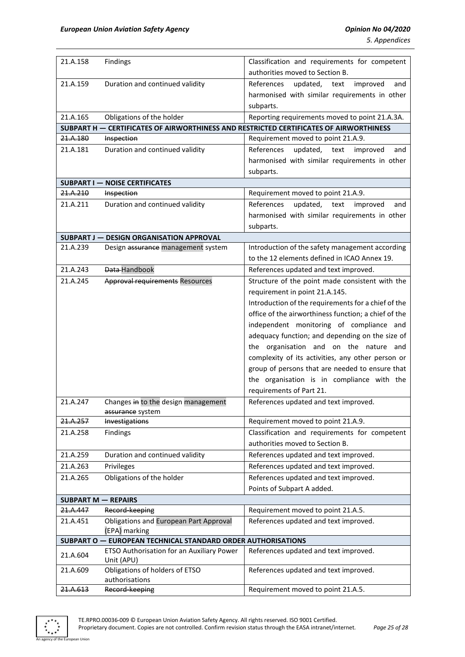*5. Appendices*

| 21.A.158                   | <b>Findings</b>                                                | Classification and requirements for competent                                          |
|----------------------------|----------------------------------------------------------------|----------------------------------------------------------------------------------------|
|                            |                                                                | authorities moved to Section B.                                                        |
| 21.A.159                   | Duration and continued validity                                | References<br>updated,<br>improved<br>text<br>and                                      |
|                            |                                                                | harmonised with similar requirements in other                                          |
|                            |                                                                | subparts.                                                                              |
| 21.A.165                   | Obligations of the holder                                      | Reporting requirements moved to point 21.A.3A.                                         |
|                            |                                                                | SUBPART H - CERTIFICATES OF AIRWORTHINESS AND RESTRICTED CERTIFICATES OF AIRWORTHINESS |
| 21.A.180                   | <b>Inspection</b>                                              | Requirement moved to point 21.A.9.                                                     |
| 21.A.181                   | Duration and continued validity                                | References<br>updated,<br>improved<br>text<br>and                                      |
|                            |                                                                | harmonised with similar requirements in other                                          |
|                            |                                                                | subparts.                                                                              |
|                            | <b>SUBPART I - NOISE CERTIFICATES</b>                          |                                                                                        |
| 21.A.210                   | Inspection                                                     | Requirement moved to point 21.A.9.                                                     |
| 21.A.211                   | Duration and continued validity                                | References<br>updated,<br>text<br>improved<br>and                                      |
|                            |                                                                | harmonised with similar requirements in other                                          |
|                            |                                                                | subparts.                                                                              |
|                            | <b>SUBPART J - DESIGN ORGANISATION APPROVAL</b>                |                                                                                        |
| 21.A.239                   | Design assurance management system                             | Introduction of the safety management according                                        |
|                            |                                                                | to the 12 elements defined in ICAO Annex 19.                                           |
| 21.A.243                   | Data-Handbook                                                  | References updated and text improved.                                                  |
| 21.A.245                   | <b>Approval requirements Resources</b>                         | Structure of the point made consistent with the                                        |
|                            |                                                                | requirement in point 21.A.145.                                                         |
|                            |                                                                | Introduction of the requirements for a chief of the                                    |
|                            |                                                                | office of the airworthiness function; a chief of the                                   |
|                            |                                                                | independent monitoring of compliance and                                               |
|                            |                                                                | adequacy function; and depending on the size of                                        |
|                            |                                                                | the organisation and on the nature and                                                 |
|                            |                                                                | complexity of its activities, any other person or                                      |
|                            |                                                                | group of persons that are needed to ensure that                                        |
|                            |                                                                | the organisation is in compliance with the                                             |
|                            |                                                                | requirements of Part 21.                                                               |
| 21.A.247                   | Changes in to the design management                            | References updated and text improved.                                                  |
|                            | assurance system                                               |                                                                                        |
| 21.A.257                   | Investigations                                                 | Requirement moved to point 21.A.9.                                                     |
| 21.A.258                   | Findings                                                       | Classification and requirements for competent                                          |
|                            |                                                                | authorities moved to Section B.                                                        |
| 21.A.259                   | Duration and continued validity                                | References updated and text improved.                                                  |
| 21.A.263                   | Privileges                                                     | References updated and text improved.                                                  |
| 21.A.265                   | Obligations of the holder                                      | References updated and text improved.                                                  |
|                            |                                                                | Points of Subpart A added.                                                             |
| <b>SUBPART M - REPAIRS</b> |                                                                |                                                                                        |
| 21.A.447                   | Record-keeping                                                 | Requirement moved to point 21.A.5.                                                     |
| 21.A.451                   | <b>Obligations and European Part Approval</b><br>(EPA) marking | References updated and text improved.                                                  |
|                            | SUBPART O - EUROPEAN TECHNICAL STANDARD ORDER AUTHORISATIONS   |                                                                                        |
|                            | ETSO Authorisation for an Auxiliary Power                      | References updated and text improved.                                                  |
| 21.A.604                   | Unit (APU)                                                     |                                                                                        |
| 21.A.609                   | Obligations of holders of ETSO                                 | References updated and text improved.                                                  |
|                            | authorisations                                                 |                                                                                        |
| 21.A.613                   | Record-keeping                                                 | Requirement moved to point 21.A.5.                                                     |

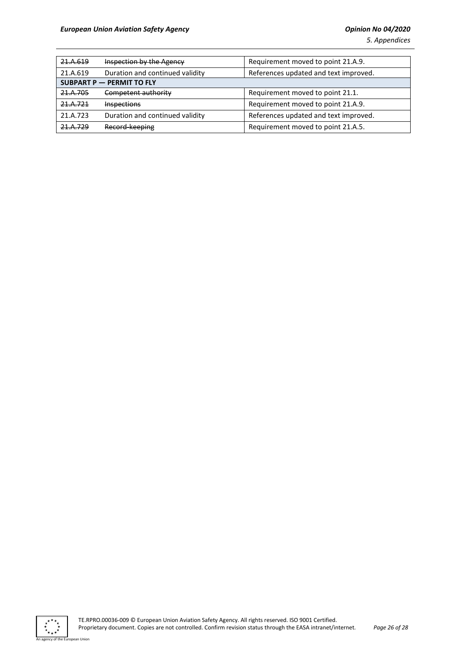| 21.A.619                  | <b>Inspection by the Agency</b> | Requirement moved to point 21.A.9.    |
|---------------------------|---------------------------------|---------------------------------------|
| 21.A.619                  | Duration and continued validity | References updated and text improved. |
| SUBPART P - PERMIT TO FLY |                                 |                                       |
| 21.A.705                  | Competent authority             | Requirement moved to point 21.1.      |
| 21.A.721                  | <b>Inspections</b>              | Requirement moved to point 21.A.9.    |
| 21.A.723                  | Duration and continued validity | References updated and text improved. |
| 21 V 750                  | Record-keeping                  | Requirement moved to point 21.A.5.    |

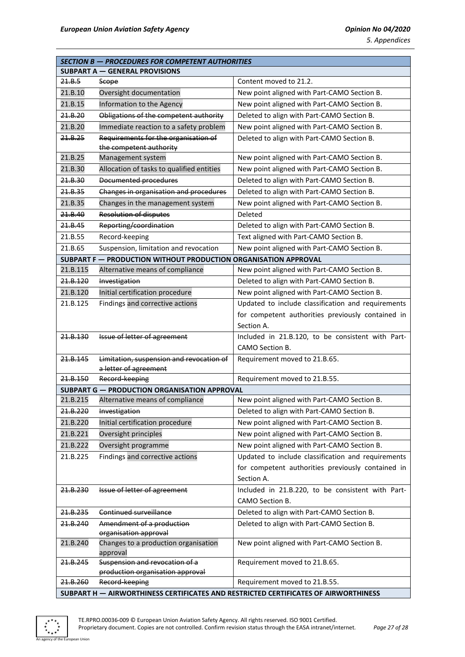| <b>SECTION B - PROCEDURES FOR COMPETENT AUTHORITIES</b>                             |                                                                 |                                                                      |  |
|-------------------------------------------------------------------------------------|-----------------------------------------------------------------|----------------------------------------------------------------------|--|
| <b>SUBPART A - GENERAL PROVISIONS</b>                                               |                                                                 |                                                                      |  |
| 21.8.5                                                                              | Scope                                                           | Content moved to 21.2.                                               |  |
| 21.B.10                                                                             | Oversight documentation                                         | New point aligned with Part-CAMO Section B.                          |  |
| 21.B.15                                                                             | Information to the Agency                                       | New point aligned with Part-CAMO Section B.                          |  |
| 21.8.20                                                                             | Obligations of the competent authority                          | Deleted to align with Part-CAMO Section B.                           |  |
| 21.B.20                                                                             | Immediate reaction to a safety problem                          | New point aligned with Part-CAMO Section B.                          |  |
| 21.8.25                                                                             | Requirements for the organisation of                            | Deleted to align with Part-CAMO Section B.                           |  |
|                                                                                     | the competent authority                                         |                                                                      |  |
| 21.B.25                                                                             | Management system                                               | New point aligned with Part-CAMO Section B.                          |  |
| 21.B.30                                                                             | Allocation of tasks to qualified entities                       | New point aligned with Part-CAMO Section B.                          |  |
| 21.8.30                                                                             | Documented procedures                                           | Deleted to align with Part-CAMO Section B.                           |  |
| 21.8.35                                                                             | Changes in organisation and procedures                          | Deleted to align with Part-CAMO Section B.                           |  |
| 21.B.35                                                                             | Changes in the management system                                | New point aligned with Part-CAMO Section B.                          |  |
| 21.8.40                                                                             | <b>Resolution of disputes</b>                                   | Deleted                                                              |  |
| 21.8.45                                                                             | Reporting/coordination                                          | Deleted to align with Part-CAMO Section B.                           |  |
| 21.B.55                                                                             | Record-keeping                                                  | Text aligned with Part-CAMO Section B.                               |  |
| 21.B.65                                                                             | Suspension, limitation and revocation                           | New point aligned with Part-CAMO Section B.                          |  |
|                                                                                     | SUBPART F - PRODUCTION WITHOUT PRODUCTION ORGANISATION APPROVAL |                                                                      |  |
| 21.B.115                                                                            | Alternative means of compliance                                 | New point aligned with Part-CAMO Section B.                          |  |
| 24.8.120                                                                            | Investigation                                                   | Deleted to align with Part-CAMO Section B.                           |  |
| 21.B.120                                                                            | Initial certification procedure                                 | New point aligned with Part-CAMO Section B.                          |  |
| 21.B.125                                                                            | Findings and corrective actions                                 | Updated to include classification and requirements                   |  |
|                                                                                     |                                                                 | for competent authorities previously contained in                    |  |
|                                                                                     |                                                                 | Section A.                                                           |  |
| 21.8.130                                                                            | Issue of letter of agreement                                    | Included in 21.B.120, to be consistent with Part-                    |  |
|                                                                                     |                                                                 | CAMO Section B.                                                      |  |
| 21.8.145                                                                            | Limitation, suspension and revocation of                        | Requirement moved to 21.B.65.                                        |  |
|                                                                                     | a letter of agreement                                           |                                                                      |  |
| 21.8.150                                                                            | Record-keeping                                                  | Requirement moved to 21.B.55.                                        |  |
|                                                                                     | <b>SUBPART G - PRODUCTION ORGANISATION APPROVAL</b>             |                                                                      |  |
| 21.B.215<br>21.B.220                                                                | Alternative means of compliance                                 | New point aligned with Part-CAMO Section B.                          |  |
|                                                                                     | Investigation                                                   | Deleted to align with Part-CAMO Section B.                           |  |
| 21.B.220                                                                            | Initial certification procedure                                 | New point aligned with Part-CAMO Section B.                          |  |
| 21.B.221                                                                            | Oversight principles                                            | New point aligned with Part-CAMO Section B.                          |  |
| 21.B.222                                                                            | Oversight programme                                             | New point aligned with Part-CAMO Section B.                          |  |
| 21.B.225                                                                            | Findings and corrective actions                                 | Updated to include classification and requirements                   |  |
|                                                                                     |                                                                 | for competent authorities previously contained in                    |  |
|                                                                                     |                                                                 | Section A.                                                           |  |
| 21.B.230                                                                            | Issue of letter of agreement                                    | Included in 21.B.220, to be consistent with Part-<br>CAMO Section B. |  |
|                                                                                     |                                                                 |                                                                      |  |
| 21.B.235                                                                            | Continued surveillance                                          | Deleted to align with Part-CAMO Section B.                           |  |
| 21.8.240                                                                            | Amendment of a production<br>organisation approval              | Deleted to align with Part-CAMO Section B.                           |  |
| 21.B.240                                                                            | Changes to a production organisation                            | New point aligned with Part-CAMO Section B.                          |  |
|                                                                                     | approval                                                        |                                                                      |  |
| 21.B.245                                                                            | Suspension and revocation of a                                  | Requirement moved to 21.B.65.                                        |  |
|                                                                                     | production organisation approval                                |                                                                      |  |
| 21.8.260                                                                            | Record-keeping                                                  | Requirement moved to 21.B.55.                                        |  |
| SUBPART H - AIRWORTHINESS CERTIFICATES AND RESTRICTED CERTIFICATES OF AIRWORTHINESS |                                                                 |                                                                      |  |